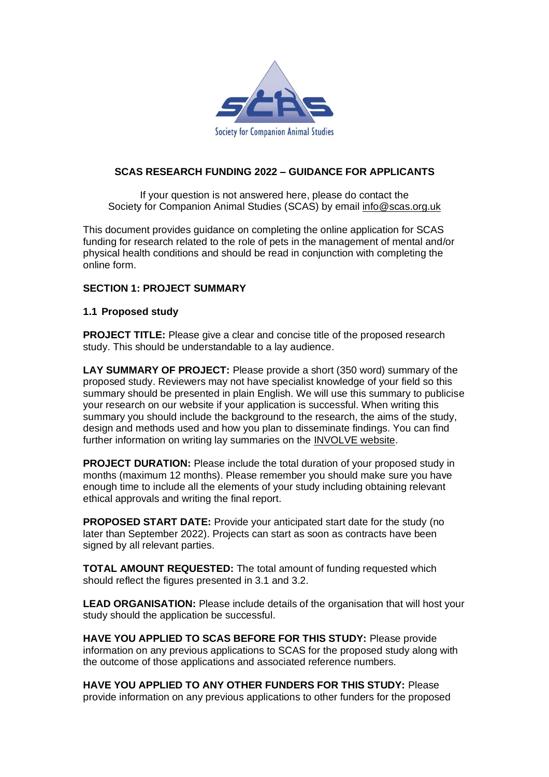

## **SCAS RESEARCH FUNDING 2022 – GUIDANCE FOR APPLICANTS**

If your question is not answered here, please do contact the Society for Companion Animal Studies (SCAS) by email [info@scas.org.uk](mailto:info@scas.org.uk)

This document provides guidance on completing the online application for SCAS funding for research related to the role of pets in the management of mental and/or physical health conditions and should be read in conjunction with completing the online form.

## **SECTION 1: PROJECT SUMMARY**

## **1.1 Proposed study**

**PROJECT TITLE:** Please give a clear and concise title of the proposed research study. This should be understandable to a lay audience.

**LAY SUMMARY OF PROJECT:** Please provide a short (350 word) summary of the proposed study. Reviewers may not have specialist knowledge of your field so this summary should be presented in plain English. We will use this summary to publicise your research on our website if your application is successful. When writing this summary you should include the background to the research, the aims of the study, design and methods used and how you plan to disseminate findings. You can find further information on writing lay summaries on the [INVOLVE](http://www.invo.org.uk/makeitclear/) website.

**PROJECT DURATION:** Please include the total duration of your proposed study in months (maximum 12 months). Please remember you should make sure you have enough time to include all the elements of your study including obtaining relevant ethical approvals and writing the final report.

**PROPOSED START DATE:** Provide your anticipated start date for the study (no later than September 2022). Projects can start as soon as contracts have been signed by all relevant parties.

**TOTAL AMOUNT REQUESTED:** The total amount of funding requested which should reflect the figures presented in 3.1 and 3.2.

**LEAD ORGANISATION:** Please include details of the organisation that will host your study should the application be successful.

**HAVE YOU APPLIED TO SCAS BEFORE FOR THIS STUDY:** Please provide information on any previous applications to SCAS for the proposed study along with the outcome of those applications and associated reference numbers.

**HAVE YOU APPLIED TO ANY OTHER FUNDERS FOR THIS STUDY:** Please provide information on any previous applications to other funders for the proposed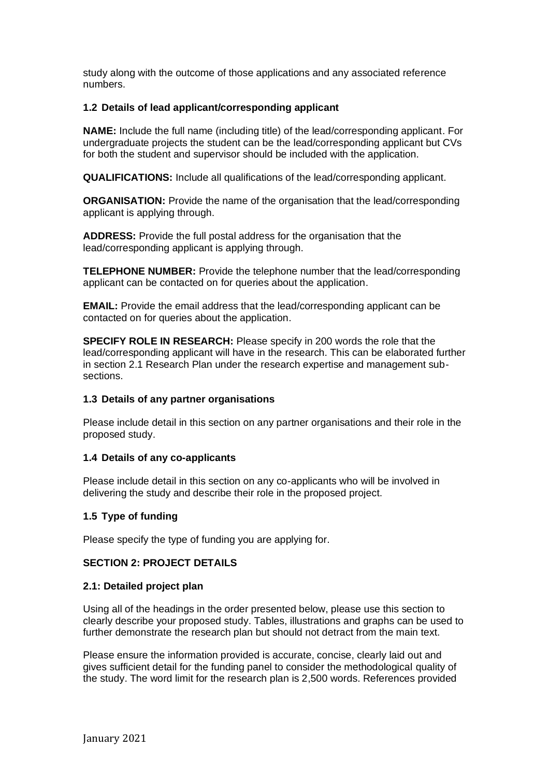study along with the outcome of those applications and any associated reference numbers.

### **1.2 Details of lead applicant/corresponding applicant**

**NAME:** Include the full name (including title) of the lead/corresponding applicant. For undergraduate projects the student can be the lead/corresponding applicant but CVs for both the student and supervisor should be included with the application.

**QUALIFICATIONS:** Include all qualifications of the lead/corresponding applicant.

**ORGANISATION:** Provide the name of the organisation that the lead/corresponding applicant is applying through.

**ADDRESS:** Provide the full postal address for the organisation that the lead/corresponding applicant is applying through.

**TELEPHONE NUMBER:** Provide the telephone number that the lead/corresponding applicant can be contacted on for queries about the application.

**EMAIL:** Provide the email address that the lead/corresponding applicant can be contacted on for queries about the application.

**SPECIFY ROLE IN RESEARCH:** Please specify in 200 words the role that the lead/corresponding applicant will have in the research. This can be elaborated further in section 2.1 Research Plan under the research expertise and management subsections.

#### **1.3 Details of any partner organisations**

Please include detail in this section on any partner organisations and their role in the proposed study.

#### **1.4 Details of any co-applicants**

Please include detail in this section on any co-applicants who will be involved in delivering the study and describe their role in the proposed project.

## **1.5 Type of funding**

Please specify the type of funding you are applying for.

## **SECTION 2: PROJECT DETAILS**

#### **2.1: Detailed project plan**

Using all of the headings in the order presented below, please use this section to clearly describe your proposed study. Tables, illustrations and graphs can be used to further demonstrate the research plan but should not detract from the main text.

Please ensure the information provided is accurate, concise, clearly laid out and gives sufficient detail for the funding panel to consider the methodological quality of the study. The word limit for the research plan is 2,500 words. References provided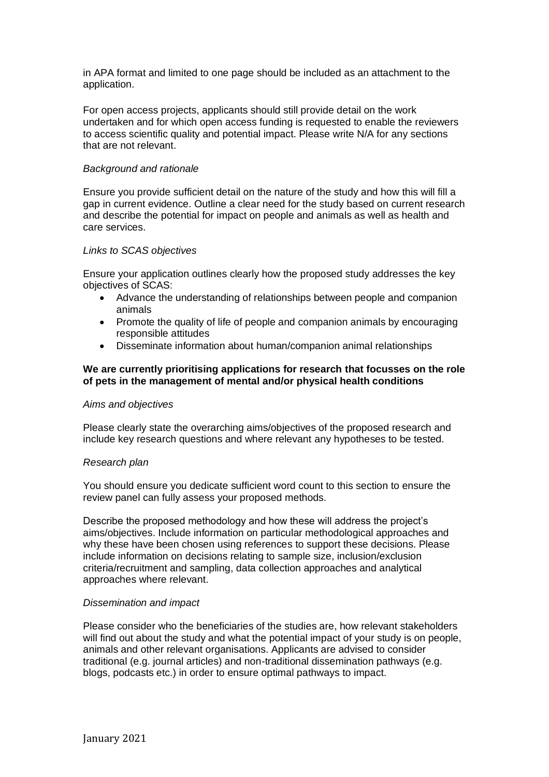in APA format and limited to one page should be included as an attachment to the application.

For open access projects, applicants should still provide detail on the work undertaken and for which open access funding is requested to enable the reviewers to access scientific quality and potential impact. Please write N/A for any sections that are not relevant.

#### *Background and rationale*

Ensure you provide sufficient detail on the nature of the study and how this will fill a gap in current evidence. Outline a clear need for the study based on current research and describe the potential for impact on people and animals as well as health and care services.

#### *Links to SCAS objectives*

Ensure your application outlines clearly how the proposed study addresses the key objectives of SCAS:

- Advance the understanding of relationships between people and companion animals
- Promote the quality of life of people and companion animals by encouraging responsible attitudes
- Disseminate information about human/companion animal relationships

#### **We are currently prioritising applications for research that focusses on the role of pets in the management of mental and/or physical health conditions**

#### *Aims and objectives*

Please clearly state the overarching aims/objectives of the proposed research and include key research questions and where relevant any hypotheses to be tested.

#### *Research plan*

You should ensure you dedicate sufficient word count to this section to ensure the review panel can fully assess your proposed methods.

Describe the proposed methodology and how these will address the project's aims/objectives. Include information on particular methodological approaches and why these have been chosen using references to support these decisions. Please include information on decisions relating to sample size, inclusion/exclusion criteria/recruitment and sampling, data collection approaches and analytical approaches where relevant.

#### *Dissemination and impact*

Please consider who the beneficiaries of the studies are, how relevant stakeholders will find out about the study and what the potential impact of your study is on people, animals and other relevant organisations. Applicants are advised to consider traditional (e.g. journal articles) and non-traditional dissemination pathways (e.g. blogs, podcasts etc.) in order to ensure optimal pathways to impact.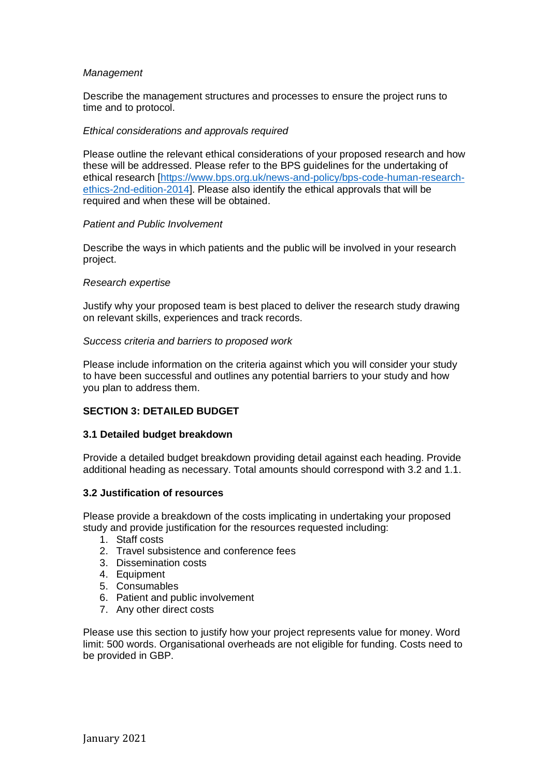#### *Management*

Describe the management structures and processes to ensure the project runs to time and to protocol.

#### *Ethical considerations and approvals required*

Please outline the relevant ethical considerations of your proposed research and how these will be addressed. Please refer to the BPS guidelines for the undertaking of ethical research [\[https://www.bps.org.uk/news-and-policy/bps-code-human-research](https://www.bps.org.uk/news-and-policy/bps-code-human-research-ethics-2nd-edition-2014)[ethics-2nd-edition-2014\]](https://www.bps.org.uk/news-and-policy/bps-code-human-research-ethics-2nd-edition-2014). Please also identify the ethical approvals that will be required and when these will be obtained.

#### *Patient and Public Involvement*

Describe the ways in which patients and the public will be involved in your research project.

### *Research expertise*

Justify why your proposed team is best placed to deliver the research study drawing on relevant skills, experiences and track records.

### *Success criteria and barriers to proposed work*

Please include information on the criteria against which you will consider your study to have been successful and outlines any potential barriers to your study and how you plan to address them.

# **SECTION 3: DETAILED BUDGET**

## **3.1 Detailed budget breakdown**

Provide a detailed budget breakdown providing detail against each heading. Provide additional heading as necessary. Total amounts should correspond with 3.2 and 1.1.

## **3.2 Justification of resources**

Please provide a breakdown of the costs implicating in undertaking your proposed study and provide justification for the resources requested including:

- 1. Staff costs
- 2. Travel subsistence and conference fees
- 3. Dissemination costs
- 4. Equipment
- 5. Consumables
- 6. Patient and public involvement
- 7. Any other direct costs

Please use this section to justify how your project represents value for money. Word limit: 500 words. Organisational overheads are not eligible for funding. Costs need to be provided in GBP.